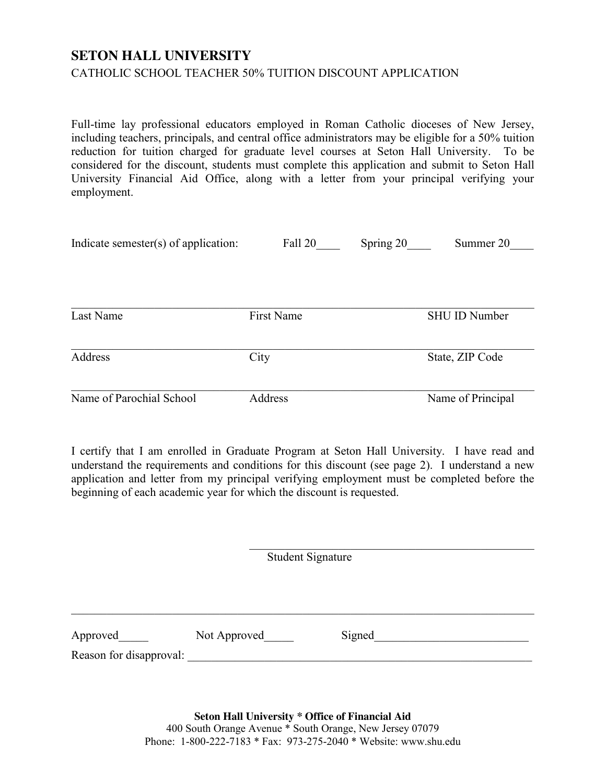## **SETON HALL UNIVERSITY**

## CATHOLIC SCHOOL TEACHER 50% TUITION DISCOUNT APPLICATION

Full-time lay professional educators employed in Roman Catholic dioceses of New Jersey, including teachers, principals, and central office administrators may be eligible for a 50% tuition reduction for tuition charged for graduate level courses at Seton Hall University. To be considered for the discount, students must complete this application and submit to Seton Hall University Financial Aid Office, along with a letter from your principal verifying your employment.

| Indicate semester(s) of application: | Fall 20           | Spring 20 | Summer 20            |
|--------------------------------------|-------------------|-----------|----------------------|
|                                      |                   |           |                      |
|                                      |                   |           |                      |
| Last Name                            | <b>First Name</b> |           | <b>SHU ID Number</b> |
| Address                              | City              |           | State, ZIP Code      |
|                                      |                   |           |                      |
| Name of Parochial School             | Address           |           | Name of Principal    |

I certify that I am enrolled in Graduate Program at Seton Hall University. I have read and understand the requirements and conditions for this discount (see page 2). I understand a new application and letter from my principal verifying employment must be completed before the beginning of each academic year for which the discount is requested.

|                                      | <b>Student Signature</b> |        |  |
|--------------------------------------|--------------------------|--------|--|
| Approved_<br>Reason for disapproval: | Not Approved             | Signed |  |

**Seton Hall University \* Office of Financial Aid** 400 South Orange Avenue \* South Orange, New Jersey 07079 Phone: 1-800-222-7183 \* Fax: 973-275-2040 \* Website: www.shu.edu